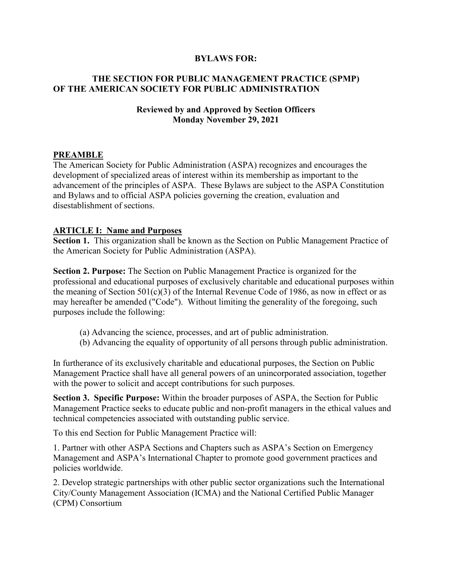#### **BYLAWS FOR:**

### **THE SECTION FOR PUBLIC MANAGEMENT PRACTICE (SPMP) OF THE AMERICAN SOCIETY FOR PUBLIC ADMINISTRATION**

#### **Reviewed by and Approved by Section Officers Monday November 29, 2021**

#### **PREAMBLE**

The American Society for Public Administration (ASPA) recognizes and encourages the development of specialized areas of interest within its membership as important to the advancement of the principles of ASPA. These Bylaws are subject to the ASPA Constitution and Bylaws and to official ASPA policies governing the creation, evaluation and disestablishment of sections.

#### **ARTICLE I: Name and Purposes**

**Section 1.** This organization shall be known as the Section on Public Management Practice of the American Society for Public Administration (ASPA).

**Section 2. Purpose:** The Section on Public Management Practice is organized for the professional and educational purposes of exclusively charitable and educational purposes within the meaning of Section  $501(c)(3)$  of the Internal Revenue Code of 1986, as now in effect or as may hereafter be amended ("Code"). Without limiting the generality of the foregoing, such purposes include the following:

- (a) Advancing the science, processes, and art of public administration.
- (b) Advancing the equality of opportunity of all persons through public administration.

In furtherance of its exclusively charitable and educational purposes, the Section on Public Management Practice shall have all general powers of an unincorporated association, together with the power to solicit and accept contributions for such purposes.

**Section 3. Specific Purpose:** Within the broader purposes of ASPA, the Section for Public Management Practice seeks to educate public and non-profit managers in the ethical values and technical competencies associated with outstanding public service.

To this end Section for Public Management Practice will:

1. Partner with other ASPA Sections and Chapters such as ASPA's Section on Emergency Management and ASPA's International Chapter to promote good government practices and policies worldwide.

2. Develop strategic partnerships with other public sector organizations such the International City/County Management Association (ICMA) and the National Certified Public Manager (CPM) Consortium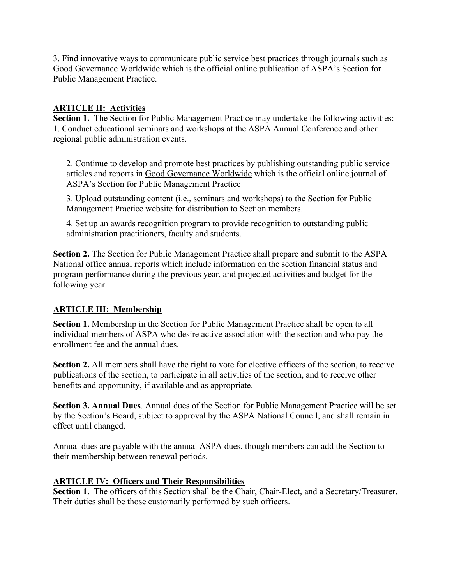3. Find innovative ways to communicate public service best practices through journals such as Good Governance Worldwide which is the official online publication of ASPA's Section for Public Management Practice.

## **ARTICLE II: Activities**

**Section 1.** The Section for Public Management Practice may undertake the following activities: 1. Conduct educational seminars and workshops at the ASPA Annual Conference and other regional public administration events.

2. Continue to develop and promote best practices by publishing outstanding public service articles and reports in Good Governance Worldwide which is the official online journal of ASPA's Section for Public Management Practice

3. Upload outstanding content (i.e., seminars and workshops) to the Section for Public Management Practice website for distribution to Section members.

4. Set up an awards recognition program to provide recognition to outstanding public administration practitioners, faculty and students.

**Section 2.** The Section for Public Management Practice shall prepare and submit to the ASPA National office annual reports which include information on the section financial status and program performance during the previous year, and projected activities and budget for the following year.

### **ARTICLE III: Membership**

**Section 1.** Membership in the Section for Public Management Practice shall be open to all individual members of ASPA who desire active association with the section and who pay the enrollment fee and the annual dues.

**Section 2.** All members shall have the right to vote for elective officers of the section, to receive publications of the section, to participate in all activities of the section, and to receive other benefits and opportunity, if available and as appropriate.

**Section 3. Annual Dues**. Annual dues of the Section for Public Management Practice will be set by the Section's Board, subject to approval by the ASPA National Council, and shall remain in effect until changed.

Annual dues are payable with the annual ASPA dues, though members can add the Section to their membership between renewal periods.

### **ARTICLE IV: Officers and Their Responsibilities**

Section 1. The officers of this Section shall be the Chair, Chair-Elect, and a Secretary/Treasurer. Their duties shall be those customarily performed by such officers.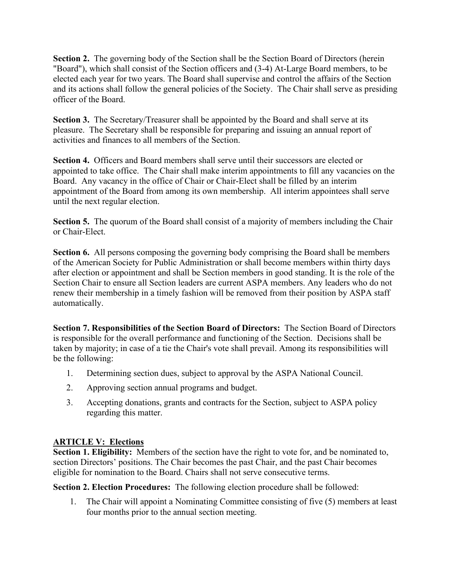**Section 2.** The governing body of the Section shall be the Section Board of Directors (herein "Board"), which shall consist of the Section officers and (3-4) At-Large Board members, to be elected each year for two years. The Board shall supervise and control the affairs of the Section and its actions shall follow the general policies of the Society. The Chair shall serve as presiding officer of the Board.

**Section 3.** The Secretary/Treasurer shall be appointed by the Board and shall serve at its pleasure. The Secretary shall be responsible for preparing and issuing an annual report of activities and finances to all members of the Section.

**Section 4.** Officers and Board members shall serve until their successors are elected or appointed to take office. The Chair shall make interim appointments to fill any vacancies on the Board. Any vacancy in the office of Chair or Chair-Elect shall be filled by an interim appointment of the Board from among its own membership. All interim appointees shall serve until the next regular election.

**Section 5.** The quorum of the Board shall consist of a majority of members including the Chair or Chair-Elect.

**Section 6.** All persons composing the governing body comprising the Board shall be members of the American Society for Public Administration or shall become members within thirty days after election or appointment and shall be Section members in good standing. It is the role of the Section Chair to ensure all Section leaders are current ASPA members. Any leaders who do not renew their membership in a timely fashion will be removed from their position by ASPA staff automatically.

**Section 7. Responsibilities of the Section Board of Directors:** The Section Board of Directors is responsible for the overall performance and functioning of the Section. Decisions shall be taken by majority; in case of a tie the Chair's vote shall prevail. Among its responsibilities will be the following:

- 1. Determining section dues, subject to approval by the ASPA National Council.
- 2. Approving section annual programs and budget.
- 3. Accepting donations, grants and contracts for the Section, subject to ASPA policy regarding this matter.

# **ARTICLE V: Elections**

**Section 1. Eligibility:** Members of the section have the right to vote for, and be nominated to, section Directors' positions. The Chair becomes the past Chair, and the past Chair becomes eligible for nomination to the Board. Chairs shall not serve consecutive terms.

**Section 2. Election Procedures:** The following election procedure shall be followed:

1. The Chair will appoint a Nominating Committee consisting of five (5) members at least four months prior to the annual section meeting.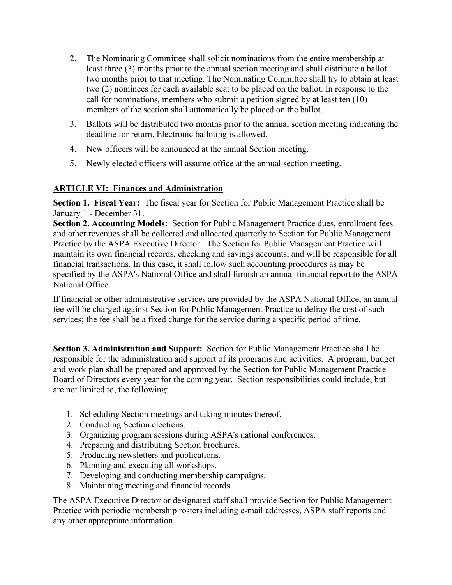- 2. The Nominating Committee shall solicit nominations from the entire membership at least three (3) months prior to the annual section meeting and shall distribute a ballot two months prior to that meeting. The Nominating Committee shall try to obtain at least two (2) nominees for each available seat to be placed on the ballot. In response to the call for nominations, members who submit a petition signed by at least ten (10) members of the section shall automatically be placed on the ballot.
- 3. Ballots will be distributed two months prior to the annual section meeting indicating the deadline for return. Electronic balloting is allowed.
- 4. New officers will be announced at the annual Section meeting.
- 5. Newly elected officers will assume office at the annual section meeting.

### **ARTICLE VI: Finances and Administration**

**Section 1. Fiscal Year:** The fiscal year for Section for Public Management Practice shall be January 1 - December 31.

**Section 2. Accounting Models:** Section for Public Management Practice dues, enrollment fees and other revenues shall be collected and allocated quarterly to Section for Public Management Practice by the ASPA Executive Director. The Section for Public Management Practice will maintain its own financial records, checking and savings accounts, and will be responsible for all financial transactions. In this case, it shall follow such accounting procedures as may be specified by the ASPA's National Office and shall furnish an annual financial report to the ASPA National Office.

If financial or other administrative services are provided by the ASPA National Office, an annual fee will be charged against Section for Public Management Practice to defray the cost of such services; the fee shall be a fixed charge for the service during a specific period of time.

**Section 3. Administration and Support:** Section for Public Management Practice shall be responsible for the administration and support of its programs and activities. A program, budget and work plan shall be prepared and approved by the Section for Public Management Practice Board of Directors every year for the coming year. Section responsibilities could include, but are not limited to, the following:

- 1. Scheduling Section meetings and taking minutes thereof.
- 2. Conducting Section elections.
- 3. Organizing program sessions during ASPA's national conferences.
- 4. Preparing and distributing Section brochures.
- 5. Producing newsletters and publications.
- 6. Planning and executing all workshops.
- 7. Developing and conducting membership campaigns.
- 8. Maintaining meeting and financial records.

The ASPA Executive Director or designated staff shall provide Section for Public Management Practice with periodic membership rosters including e-mail addresses, ASPA staff reports and any other appropriate information.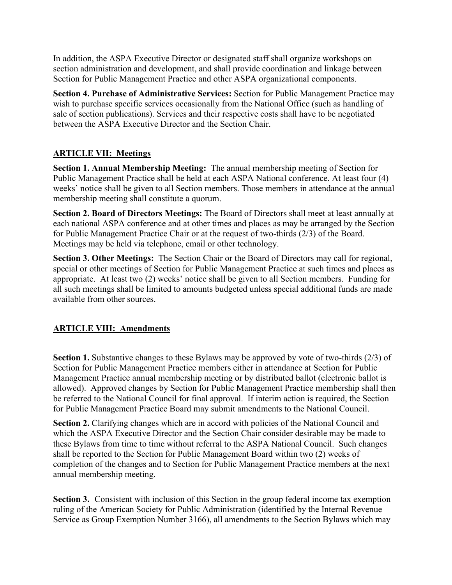In addition, the ASPA Executive Director or designated staff shall organize workshops on section administration and development, and shall provide coordination and linkage between Section for Public Management Practice and other ASPA organizational components.

**Section 4. Purchase of Administrative Services:** Section for Public Management Practice may wish to purchase specific services occasionally from the National Office (such as handling of sale of section publications). Services and their respective costs shall have to be negotiated between the ASPA Executive Director and the Section Chair.

# **ARTICLE VII: Meetings**

**Section 1. Annual Membership Meeting:** The annual membership meeting of Section for Public Management Practice shall be held at each ASPA National conference. At least four (4) weeks' notice shall be given to all Section members. Those members in attendance at the annual membership meeting shall constitute a quorum.

**Section 2. Board of Directors Meetings:** The Board of Directors shall meet at least annually at each national ASPA conference and at other times and places as may be arranged by the Section for Public Management Practice Chair or at the request of two-thirds (2/3) of the Board. Meetings may be held via telephone, email or other technology.

**Section 3. Other Meetings:** The Section Chair or the Board of Directors may call for regional, special or other meetings of Section for Public Management Practice at such times and places as appropriate. At least two (2) weeks' notice shall be given to all Section members. Funding for all such meetings shall be limited to amounts budgeted unless special additional funds are made available from other sources.

### **ARTICLE VIII: Amendments**

**Section 1.** Substantive changes to these Bylaws may be approved by vote of two-thirds (2/3) of Section for Public Management Practice members either in attendance at Section for Public Management Practice annual membership meeting or by distributed ballot (electronic ballot is allowed). Approved changes by Section for Public Management Practice membership shall then be referred to the National Council for final approval. If interim action is required, the Section for Public Management Practice Board may submit amendments to the National Council.

**Section 2.** Clarifying changes which are in accord with policies of the National Council and which the ASPA Executive Director and the Section Chair consider desirable may be made to these Bylaws from time to time without referral to the ASPA National Council. Such changes shall be reported to the Section for Public Management Board within two (2) weeks of completion of the changes and to Section for Public Management Practice members at the next annual membership meeting.

**Section 3.** Consistent with inclusion of this Section in the group federal income tax exemption ruling of the American Society for Public Administration (identified by the Internal Revenue Service as Group Exemption Number 3166), all amendments to the Section Bylaws which may